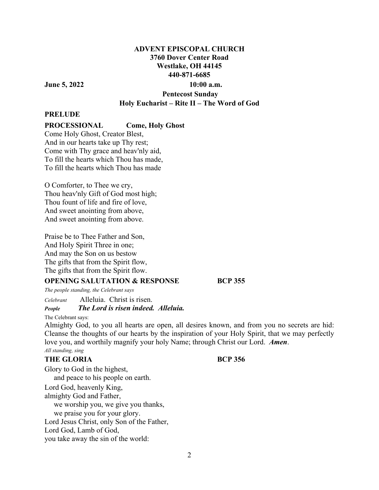## **ADVENT EPISCOPAL CHURCH 3760 Dover Center Road Westlake, OH 44145 440-871-6685**

**June 5, 2022** 10:00 a.m.

 **Pentecost Sunday Holy Eucharist – Rite II – The Word of God** 

#### **PRELUDE**

## **PROCESSIONAL Come, Holy Ghost**

Come Holy Ghost, Creator Blest, And in our hearts take up Thy rest; Come with Thy grace and heav'nly aid, To fill the hearts which Thou has made, To fill the hearts which Thou has made

O Comforter, to Thee we cry, Thou heav'nly Gift of God most high; Thou fount of life and fire of love, And sweet anointing from above, And sweet anointing from above.

Praise be to Thee Father and Son, And Holy Spirit Three in one; And may the Son on us bestow The gifts that from the Spirit flow, The gifts that from the Spirit flow.

### **OPENING SALUTATION & RESPONSE BCP 355**

*The people standing, the Celebrant says* 

*Celebrant* Alleluia. Christ is risen. *People The Lord is risen indeed. Alleluia.* 

The Celebrant says:

Almighty God, to you all hearts are open, all desires known, and from you no secrets are hid: Cleanse the thoughts of our hearts by the inspiration of your Holy Spirit, that we may perfectly love you, and worthily magnify your holy Name; through Christ our Lord. *Amen*.

#### *All standing, sing* **THE GLORIA BCP 356**

Glory to God in the highest, and peace to his people on earth. Lord God, heavenly King, almighty God and Father, we worship you, we give you thanks, we praise you for your glory. Lord Jesus Christ, only Son of the Father, Lord God, Lamb of God, you take away the sin of the world: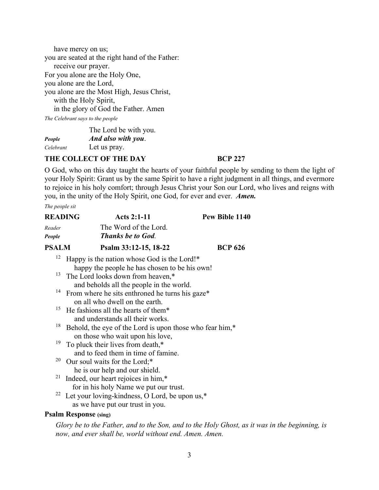have mercy on us; you are seated at the right hand of the Father: receive our prayer. For you alone are the Holy One, you alone are the Lord, you alone are the Most High, Jesus Christ, with the Holy Spirit, in the glory of God the Father. Amen

*The Celebrant says to the people* 

 The Lord be with you. *People And also with you*. *Celebrant* Let us pray.

### THE COLLECT OF THE DAY **BCP 227**

O God, who on this day taught the hearts of your faithful people by sending to them the light of your Holy Spirit: Grant us by the same Spirit to have a right judgment in all things, and evermore to rejoice in his holy comfort; through Jesus Christ your Son our Lord, who lives and reigns with you, in the unity of the Holy Spirit, one God, for ever and ever. *Amen.*

*The people sit* 

| <b>READING</b> | <b>Acts 2:1-11</b>                                       | Pew Bible 1140 |
|----------------|----------------------------------------------------------|----------------|
| Reader         | The Word of the Lord.                                    |                |
| People         | <b>Thanks be to God.</b>                                 |                |
| <b>PSALM</b>   | Psalm 33:12-15, 18-22                                    | <b>BCP 626</b> |
| 12             | Happy is the nation whose God is the Lord!*              |                |
|                | happy the people he has chosen to be his own!            |                |
| 13             | The Lord looks down from heaven,*                        |                |
|                | and beholds all the people in the world.                 |                |
| 14             | From where he sits enthroned he turns his gaze*          |                |
|                | on all who dwell on the earth.                           |                |
| 15             | He fashions all the hearts of them*                      |                |
|                | and understands all their works.                         |                |
| 18             | Behold, the eye of the Lord is upon those who fear him,* |                |
|                | on those who wait upon his love,                         |                |
| 19             | To pluck their lives from death,*                        |                |
|                | and to feed them in time of famine.                      |                |
| 20             | Our soul waits for the Lord;*                            |                |
|                | he is our help and our shield.                           |                |
| 21             | Indeed, our heart rejoices in him,*                      |                |
|                | for in his holy Name we put our trust.                   |                |
| 22             | Let your loving-kindness, O Lord, be upon us,*           |                |
|                | as we have put our trust in you.                         |                |
|                | D                                                        |                |

#### **Psalm Response (sing)**

*Glory be to the Father, and to the Son, and to the Holy Ghost, as it was in the beginning, is now, and ever shall be, world without end. Amen. Amen.*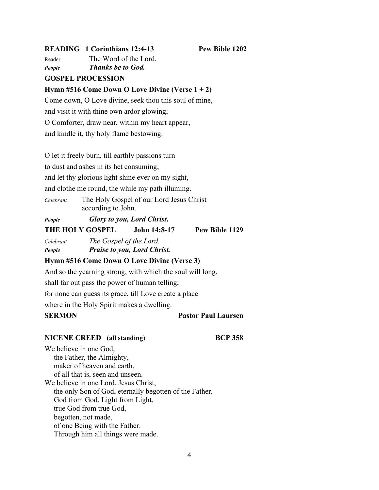## **READING 1 Corinthians 12:4-13 Pew Bible 1202**

Reader The Word of the Lord. *People Thanks be to God.* 

#### **GOSPEL PROCESSION**

#### **Hymn #516 Come Down O Love Divine (Verse 1 + 2)**

Come down, O Love divine, seek thou this soul of mine, and visit it with thine own ardor glowing; O Comforter, draw near, within my heart appear, and kindle it, thy holy flame bestowing.

O let it freely burn, till earthly passions turn to dust and ashes in its het consuming; and let thy glorious light shine ever on my sight, and clothe me round, the while my path illuming. *Celebrant* The Holy Gospel of our Lord Jesus Christ according to John.

# *People Glory to you, Lord Christ***. THE HOLY GOSPEL John 14:8-17 Pew Bible 1129**

*Celebrant The Gospel of the Lord. People Praise to you, Lord Christ.* 

### **Hymn #516 Come Down O Love Divine (Verse 3)**

And so the yearning strong, with which the soul will long, shall far out pass the power of human telling; for none can guess its grace, till Love create a place where in the Holy Spirit makes a dwelling.

#### **SERMON Pastor Paul Laursen**

#### **NICENE CREED (all standing**) **BCP 358**

We believe in one God, the Father, the Almighty, maker of heaven and earth, of all that is, seen and unseen. We believe in one Lord, Jesus Christ, the only Son of God, eternally begotten of the Father, God from God, Light from Light, true God from true God, begotten, not made, of one Being with the Father. Through him all things were made.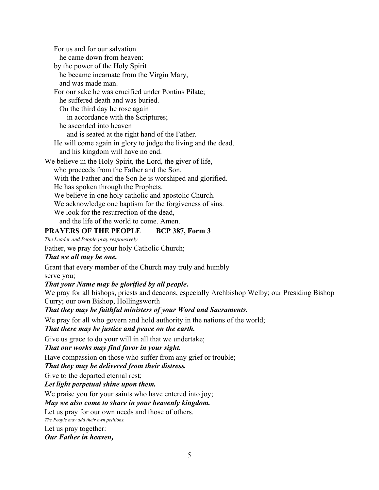For us and for our salvation he came down from heaven: by the power of the Holy Spirit he became incarnate from the Virgin Mary, and was made man. For our sake he was crucified under Pontius Pilate; he suffered death and was buried. On the third day he rose again in accordance with the Scriptures; he ascended into heaven and is seated at the right hand of the Father. He will come again in glory to judge the living and the dead, and his kingdom will have no end. We believe in the Holy Spirit, the Lord, the giver of life, who proceeds from the Father and the Son. With the Father and the Son he is worshiped and glorified. He has spoken through the Prophets. We believe in one holy catholic and apostolic Church. We acknowledge one baptism for the forgiveness of sins. We look for the resurrection of the dead, and the life of the world to come. Amen.

## **PRAYERS OF THE PEOPLE BCP 387, Form 3**

*The Leader and People pray responsively* 

Father, we pray for your holy Catholic Church;

### *That we all may be one.*

Grant that every member of the Church may truly and humbly serve you;

### *That your Name may be glorified by all people***.**

We pray for all bishops, priests and deacons, especially Archbishop Welby; our Presiding Bishop Curry; our own Bishop, Hollingsworth

## *That they may be faithful ministers of your Word and Sacraments.*

We pray for all who govern and hold authority in the nations of the world;

### *That there may be justice and peace on the earth.*

Give us grace to do your will in all that we undertake;

### *That our works may find favor in your sight.*

Have compassion on those who suffer from any grief or trouble;

### *That they may be delivered from their distress.*

Give to the departed eternal rest;

### *Let light perpetual shine upon them.*

We praise you for your saints who have entered into joy;

### *May we also come to share in your heavenly kingdom.*

Let us pray for our own needs and those of others.

*The People may add their own petitions.*

Let us pray together:

#### *Our Father in heaven,*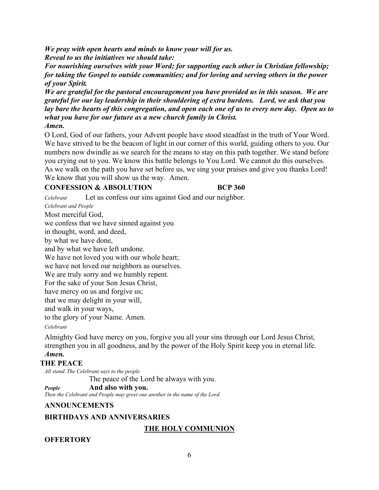*We pray with open hearts and minds to know your will for us. Reveal to us the initiatives we should take:* 

*For nourishing ourselves with your Word; for supporting each other in Christian fellowship; for taking the Gospel to outside communities; and for loving and serving others in the power of your Spirit.* 

*We are grateful for the pastoral encouragement you have provided us in this season. We are grateful for our lay leadership in their shouldering of extra burdens. Lord, we ask that you lay bare the hearts of this congregation, and open each one of us to every new day. Open us to what you have for our future as a new church family in Christ.* 

### *Amen.*

O Lord, God of our fathers, your Advent people have stood steadfast in the truth of Your Word. We have strived to be the beacon of light in our corner of this world, guiding others to you. Our numbers now dwindle as we search for the means to stay on this path together. We stand before you crying out to you. We know this battle belongs to You Lord. We cannot do this ourselves. As we walk on the path you have set before us, we sing your praises and give you thanks Lord! We know that you will show us the way. Amen.

## **CONFESSION & ABSOLUTION BCP 360**

*Celebrant* Let us confess our sins against God and our neighbor.

*Celebrant and People*

Most merciful God,

we confess that we have sinned against you

in thought, word, and deed,

by what we have done,

and by what we have left undone.

We have not loved you with our whole heart;

we have not loved our neighbors as ourselves.

We are truly sorry and we humbly repent.

For the sake of your Son Jesus Christ,

have mercy on us and forgive us;

that we may delight in your will,

and walk in your ways,

to the glory of your Name. Amen*.*

### *Celebrant*

Almighty God have mercy on you, forgive you all your sins through our Lord Jesus Christ, strengthen you in all goodness, and by the power of the Holy Spirit keep you in eternal life. *Amen.*

## **THE PEACE**

*All stand. The Celebrant says to the people* The peace of the Lord be always with you.

*People* **And also with you.**

*Then the Celebrant and People may greet one another in the name of the Lord.*

## **ANNOUNCEMENTS**

## **BIRTHDAYS AND ANNIVERSARIES**

## **THE HOLY COMMUNION**

## **OFFERTORY**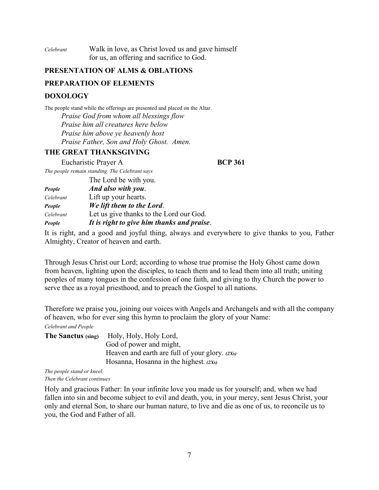| Celebrant | Walk in love, as Christ loved us and gave himself |
|-----------|---------------------------------------------------|
|           | for us, an offering and sacrifice to God.         |

#### **PRESENTATION OF ALMS & OBLATIONS**

#### **PREPARATION OF ELEMENTS**

#### **DOXOLOGY**

The people stand while the offerings are presented and placed on the Altar.  *Praise God from whom all blessings flow Praise him all creatures here below Praise him above ye heavenly host Praise Father, Son and Holy Ghost. Amen.* 

#### **THE GREAT THANKSGIVING**

#### Eucharistic Prayer A **BCP 361**

*The people remain standing. The Celebrant says*   $TH = L \cdot \mathbf{1}$ 

| Celebrant<br>People | Let us give thanks to the Lord our God.<br>It is right to give him thanks and praise. |
|---------------------|---------------------------------------------------------------------------------------|
| People              | We lift them to the Lord.                                                             |
| Celebrant           | Lift up your hearts.                                                                  |
| People              | And also with you.                                                                    |
|                     | The Lord be with you.                                                                 |

It is right, and a good and joyful thing, always and everywhere to give thanks to you, Father Almighty, Creator of heaven and earth.

Through Jesus Christ our Lord; according to whose true promise the Holy Ghost came down from heaven, lighting upon the disciples, to teach them and to lead them into all truth; uniting peoples of many tongues in the confession of one faith, and giving to thy Church the power to serve thee as a royal priesthood, and to preach the Gospel to all nations.

Therefore we praise you, joining our voices with Angels and Archangels and with all the company of heaven, who for ever sing this hymn to proclaim the glory of your Name:

*Celebrant and People* 

| The Sanctus (sing) | Holy, Holy, Holy Lord,                           |
|--------------------|--------------------------------------------------|
|                    | God of power and might,                          |
|                    | Heaven and earth are full of your glory. $(2Xs)$ |
|                    | Hosanna, Hosanna in the highest. $(2Xs)$         |

*The people stand or kneel. Then the Celebrant continues* 

Holy and gracious Father: In your infinite love you made us for yourself; and, when we had fallen into sin and become subject to evil and death, you, in your mercy, sent Jesus Christ, your only and eternal Son, to share our human nature, to live and die as one of us, to reconcile us to you, the God and Father of all.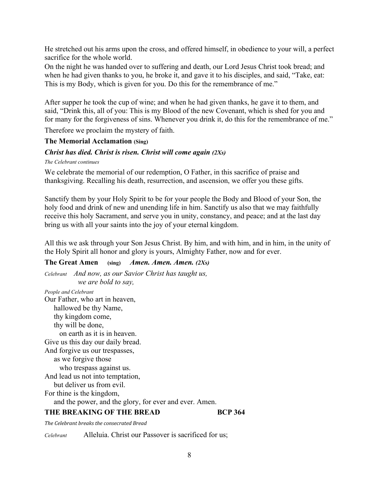He stretched out his arms upon the cross, and offered himself, in obedience to your will, a perfect sacrifice for the whole world.

On the night he was handed over to suffering and death, our Lord Jesus Christ took bread; and when he had given thanks to you, he broke it, and gave it to his disciples, and said, "Take, eat: This is my Body, which is given for you. Do this for the remembrance of me."

After supper he took the cup of wine; and when he had given thanks, he gave it to them, and said, "Drink this, all of you: This is my Blood of the new Covenant, which is shed for you and for many for the forgiveness of sins. Whenever you drink it, do this for the remembrance of me."

Therefore we proclaim the mystery of faith.

#### **The Memorial Acclamation (Sing)**

#### *Christ has died. Christ is risen. Christ will come again (2Xs)*

*The Celebrant continues* 

We celebrate the memorial of our redemption, O Father, in this sacrifice of praise and thanksgiving. Recalling his death, resurrection, and ascension, we offer you these gifts.

Sanctify them by your Holy Spirit to be for your people the Body and Blood of your Son, the holy food and drink of new and unending life in him. Sanctify us also that we may faithfully receive this holy Sacrament, and serve you in unity, constancy, and peace; and at the last day bring us with all your saints into the joy of your eternal kingdom.

All this we ask through your Son Jesus Christ. By him, and with him, and in him, in the unity of the Holy Spirit all honor and glory is yours, Almighty Father, now and for ever.

### **The Great Amen (sing)** *Amen. Amen. Amen. (2Xs)*

*Celebrant And now, as our Savior Christ has taught us, we are bold to say, People and Celebrant*  Our Father, who art in heaven, hallowed be thy Name, thy kingdom come, thy will be done, on earth as it is in heaven. Give us this day our daily bread. And forgive us our trespasses, as we forgive those who trespass against us. And lead us not into temptation, but deliver us from evil. For thine is the kingdom, and the power, and the glory, for ever and ever. Amen. **THE BREAKING OF THE BREAD BCP 364** 

*The Celebrant breaks the consecrated Bread*

*Celebrant* Alleluia. Christ our Passover is sacrificed for us;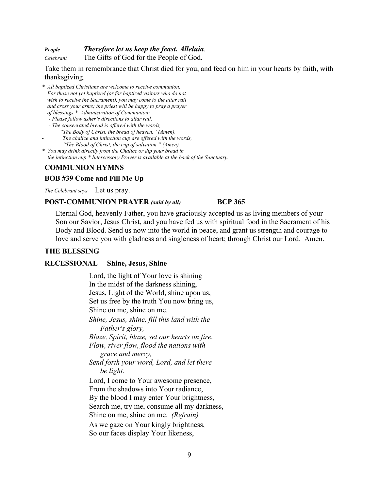## *People Therefore let us keep the feast. Alleluia*.

*Celebrant* The Gifts of God for the People of God.

Take them in remembrance that Christ died for you, and feed on him in your hearts by faith, with thanksgiving.

*\* All baptized Christians are welcome to receive communion. For those not yet baptized (or for baptized visitors who do not wish to receive the Sacrament), you may come to the altar rail and cross your arms; the priest will be happy to pray a prayer of blessings.\* Administration of Communion:* 

 *- Please follow usher's directions to altar rail.* 

- *The consecrated bread is offered with the words,* 
	- *"The Body of Christ, the bread of heaven." (Amen).*
	- *The chalice and intinction cup are offered with the words, "The Blood of Christ, the cup of salvation," (Amen).*

*\* You may drink directly from the Chalice or dip your bread in* 

 *the intinction cup \* Intercessory Prayer is available at the back of the Sanctuary.* 

#### **COMMUNION HYMNS**

#### **BOB #39 Come and Fill Me Up**

*The Celebrant says* Let us pray.

#### **POST-COMMUNION PRAYER** *(said by all)* **BCP 365**

Eternal God, heavenly Father, you have graciously accepted us as living members of your Son our Savior, Jesus Christ, and you have fed us with spiritual food in the Sacrament of his Body and Blood. Send us now into the world in peace, and grant us strength and courage to love and serve you with gladness and singleness of heart; through Christ our Lord. Amen.

#### **THE BLESSING**

#### **RECESSIONAL Shine, Jesus, Shine**

Lord, the light of Your love is shining In the midst of the darkness shining, Jesus, Light of the World, shine upon us, Set us free by the truth You now bring us, Shine on me, shine on me.

*Shine, Jesus, shine, fill this land with the Father's glory,* 

*Blaze, Spirit, blaze, set our hearts on fire. Flow, river flow, flood the nations with* 

 *grace and mercy, Send forth your word, Lord, and let there be light.* 

Lord, I come to Your awesome presence, From the shadows into Your radiance, By the blood I may enter Your brightness, Search me, try me, consume all my darkness, Shine on me, shine on me. *(Refrain)*  As we gaze on Your kingly brightness, So our faces display Your likeness,